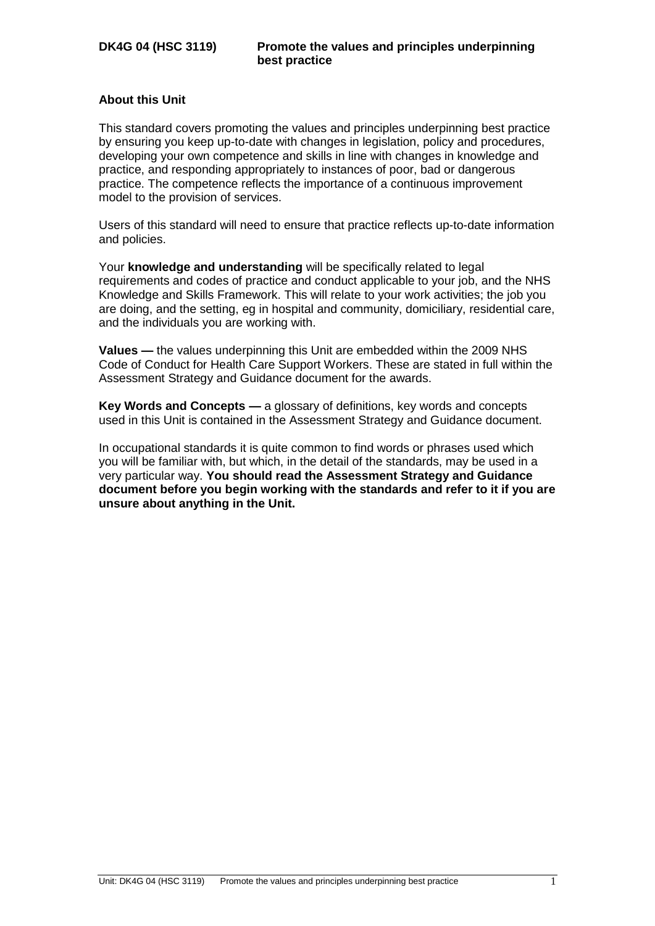## **About this Unit**

This standard covers promoting the values and principles underpinning best practice by ensuring you keep up-to-date with changes in legislation, policy and procedures, developing your own competence and skills in line with changes in knowledge and practice, and responding appropriately to instances of poor, bad or dangerous practice. The competence reflects the importance of a continuous improvement model to the provision of services.

Users of this standard will need to ensure that practice reflects up-to-date information and policies.

Your **knowledge and understanding** will be specifically related to legal requirements and codes of practice and conduct applicable to your job, and the NHS Knowledge and Skills Framework. This will relate to your work activities; the job you are doing, and the setting, eg in hospital and community, domiciliary, residential care, and the individuals you are working with.

**Values —** the values underpinning this Unit are embedded within the 2009 NHS Code of Conduct for Health Care Support Workers. These are stated in full within the Assessment Strategy and Guidance document for the awards.

**Key Words and Concepts —** a glossary of definitions, key words and concepts used in this Unit is contained in the Assessment Strategy and Guidance document.

In occupational standards it is quite common to find words or phrases used which you will be familiar with, but which, in the detail of the standards, may be used in a very particular way. **You should read the Assessment Strategy and Guidance document before you begin working with the standards and refer to it if you are unsure about anything in the Unit.**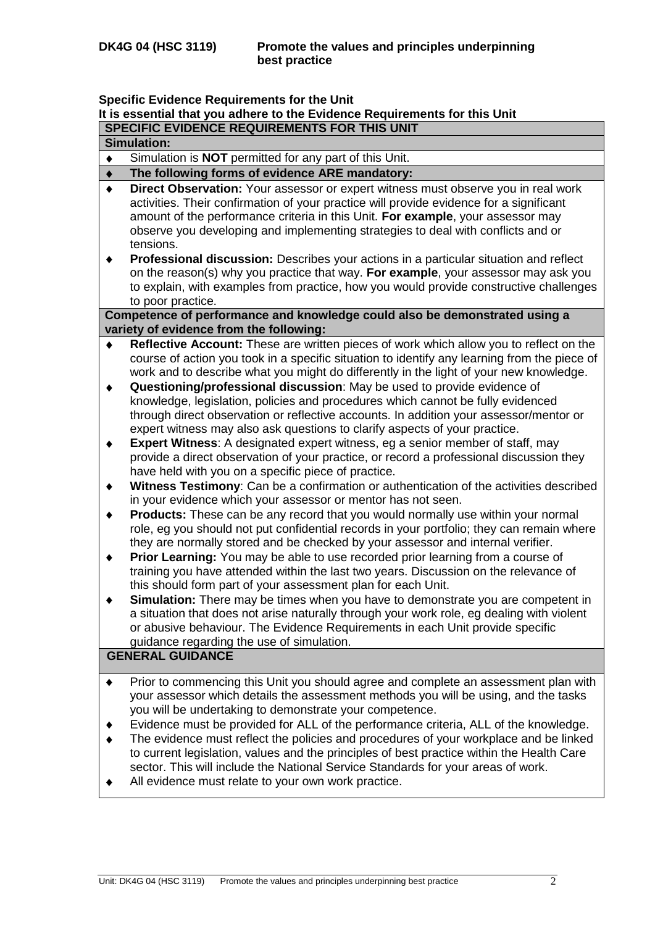## **Specific Evidence Requirements for the Unit**

## **It is essential that you adhere to the Evidence Requirements for this Unit**

| SPECIFIC EVIDENCE REQUIREMENTS FOR THIS UNIT |                                                                                                                                                                                                                                                                                                                                                                                                                                                                                                                                                                                                                                                                |  |  |  |
|----------------------------------------------|----------------------------------------------------------------------------------------------------------------------------------------------------------------------------------------------------------------------------------------------------------------------------------------------------------------------------------------------------------------------------------------------------------------------------------------------------------------------------------------------------------------------------------------------------------------------------------------------------------------------------------------------------------------|--|--|--|
|                                              | <b>Simulation:</b>                                                                                                                                                                                                                                                                                                                                                                                                                                                                                                                                                                                                                                             |  |  |  |
| ٠                                            | Simulation is <b>NOT</b> permitted for any part of this Unit.                                                                                                                                                                                                                                                                                                                                                                                                                                                                                                                                                                                                  |  |  |  |
|                                              | The following forms of evidence ARE mandatory:                                                                                                                                                                                                                                                                                                                                                                                                                                                                                                                                                                                                                 |  |  |  |
| ٠<br>٠                                       | Direct Observation: Your assessor or expert witness must observe you in real work<br>activities. Their confirmation of your practice will provide evidence for a significant<br>amount of the performance criteria in this Unit. For example, your assessor may<br>observe you developing and implementing strategies to deal with conflicts and or<br>tensions.<br>Professional discussion: Describes your actions in a particular situation and reflect<br>on the reason(s) why you practice that way. For example, your assessor may ask you<br>to explain, with examples from practice, how you would provide constructive challenges<br>to poor practice. |  |  |  |
|                                              | Competence of performance and knowledge could also be demonstrated using a<br>variety of evidence from the following:                                                                                                                                                                                                                                                                                                                                                                                                                                                                                                                                          |  |  |  |
| ٠<br>٠                                       | Reflective Account: These are written pieces of work which allow you to reflect on the<br>course of action you took in a specific situation to identify any learning from the piece of<br>work and to describe what you might do differently in the light of your new knowledge.<br>Questioning/professional discussion: May be used to provide evidence of                                                                                                                                                                                                                                                                                                    |  |  |  |
|                                              | knowledge, legislation, policies and procedures which cannot be fully evidenced<br>through direct observation or reflective accounts. In addition your assessor/mentor or<br>expert witness may also ask questions to clarify aspects of your practice.                                                                                                                                                                                                                                                                                                                                                                                                        |  |  |  |
| ٠                                            | <b>Expert Witness:</b> A designated expert witness, eg a senior member of staff, may<br>provide a direct observation of your practice, or record a professional discussion they<br>have held with you on a specific piece of practice.                                                                                                                                                                                                                                                                                                                                                                                                                         |  |  |  |
| ٠                                            | Witness Testimony: Can be a confirmation or authentication of the activities described<br>in your evidence which your assessor or mentor has not seen.                                                                                                                                                                                                                                                                                                                                                                                                                                                                                                         |  |  |  |
| ٠                                            | <b>Products:</b> These can be any record that you would normally use within your normal<br>role, eg you should not put confidential records in your portfolio; they can remain where<br>they are normally stored and be checked by your assessor and internal verifier.                                                                                                                                                                                                                                                                                                                                                                                        |  |  |  |
| ٠                                            | Prior Learning: You may be able to use recorded prior learning from a course of<br>training you have attended within the last two years. Discussion on the relevance of<br>this should form part of your assessment plan for each Unit.                                                                                                                                                                                                                                                                                                                                                                                                                        |  |  |  |
| ٠                                            | Simulation: There may be times when you have to demonstrate you are competent in<br>a situation that does not arise naturally through your work role, eg dealing with violent<br>or abusive behaviour. The Evidence Requirements in each Unit provide specific<br>guidance regarding the use of simulation.                                                                                                                                                                                                                                                                                                                                                    |  |  |  |
|                                              | <b>GENERAL GUIDANCE</b>                                                                                                                                                                                                                                                                                                                                                                                                                                                                                                                                                                                                                                        |  |  |  |
|                                              | Prior to commencing this Unit you should agree and complete an assessment plan with<br>your assessor which details the assessment methods you will be using, and the tasks<br>you will be undertaking to demonstrate your competence.                                                                                                                                                                                                                                                                                                                                                                                                                          |  |  |  |
|                                              | Evidence must be provided for ALL of the performance criteria, ALL of the knowledge.                                                                                                                                                                                                                                                                                                                                                                                                                                                                                                                                                                           |  |  |  |

- The evidence must reflect the policies and procedures of your workplace and be linked  $\bullet$ to current legislation, values and the principles of best practice within the Health Care sector. This will include the National Service Standards for your areas of work.
- All evidence must relate to your own work practice. $\blacklozenge$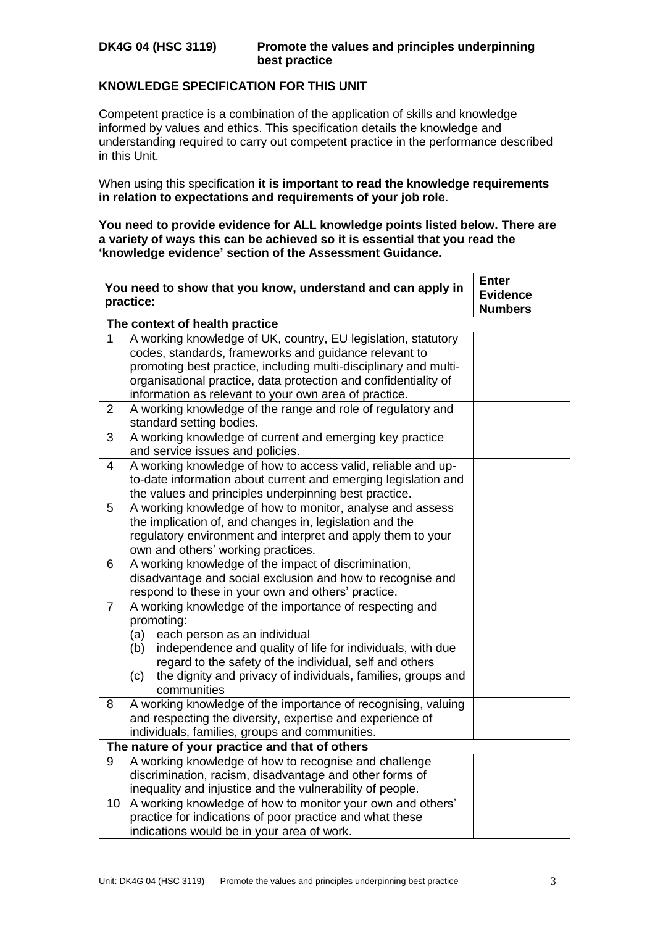$\mathbf{r}$ 

## **KNOWLEDGE SPECIFICATION FOR THIS UNIT**

Competent practice is a combination of the application of skills and knowledge informed by values and ethics. This specification details the knowledge and understanding required to carry out competent practice in the performance described in this Unit.

When using this specification **it is important to read the knowledge requirements in relation to expectations and requirements of your job role**.

**You need to provide evidence for ALL knowledge points listed below. There are a variety of ways this can be achieved so it is essential that you read the 'knowledge evidence' section of the Assessment Guidance.**

|                                                | You need to show that you know, understand and can apply in<br>practice:                                                                                                                                                                                                                                                           | <b>Enter</b><br><b>Evidence</b><br><b>Numbers</b> |  |  |  |  |
|------------------------------------------------|------------------------------------------------------------------------------------------------------------------------------------------------------------------------------------------------------------------------------------------------------------------------------------------------------------------------------------|---------------------------------------------------|--|--|--|--|
|                                                | The context of health practice                                                                                                                                                                                                                                                                                                     |                                                   |  |  |  |  |
| 1                                              | A working knowledge of UK, country, EU legislation, statutory<br>codes, standards, frameworks and guidance relevant to<br>promoting best practice, including multi-disciplinary and multi-<br>organisational practice, data protection and confidentiality of<br>information as relevant to your own area of practice.             |                                                   |  |  |  |  |
| $\overline{2}$                                 | A working knowledge of the range and role of regulatory and<br>standard setting bodies.                                                                                                                                                                                                                                            |                                                   |  |  |  |  |
| 3                                              | A working knowledge of current and emerging key practice<br>and service issues and policies.                                                                                                                                                                                                                                       |                                                   |  |  |  |  |
| 4                                              | A working knowledge of how to access valid, reliable and up-<br>to-date information about current and emerging legislation and<br>the values and principles underpinning best practice.                                                                                                                                            |                                                   |  |  |  |  |
| 5                                              | A working knowledge of how to monitor, analyse and assess<br>the implication of, and changes in, legislation and the<br>regulatory environment and interpret and apply them to your<br>own and others' working practices.                                                                                                          |                                                   |  |  |  |  |
| 6                                              | A working knowledge of the impact of discrimination,<br>disadvantage and social exclusion and how to recognise and<br>respond to these in your own and others' practice.                                                                                                                                                           |                                                   |  |  |  |  |
| $\overline{7}$                                 | A working knowledge of the importance of respecting and<br>promoting:<br>each person as an individual<br>(a)<br>independence and quality of life for individuals, with due<br>(b)<br>regard to the safety of the individual, self and others<br>the dignity and privacy of individuals, families, groups and<br>(c)<br>communities |                                                   |  |  |  |  |
| 8                                              | A working knowledge of the importance of recognising, valuing<br>and respecting the diversity, expertise and experience of<br>individuals, families, groups and communities.                                                                                                                                                       |                                                   |  |  |  |  |
| The nature of your practice and that of others |                                                                                                                                                                                                                                                                                                                                    |                                                   |  |  |  |  |
| 9                                              | A working knowledge of how to recognise and challenge<br>discrimination, racism, disadvantage and other forms of<br>inequality and injustice and the vulnerability of people.                                                                                                                                                      |                                                   |  |  |  |  |
| 10 <sup>°</sup>                                | A working knowledge of how to monitor your own and others'<br>practice for indications of poor practice and what these<br>indications would be in your area of work.                                                                                                                                                               |                                                   |  |  |  |  |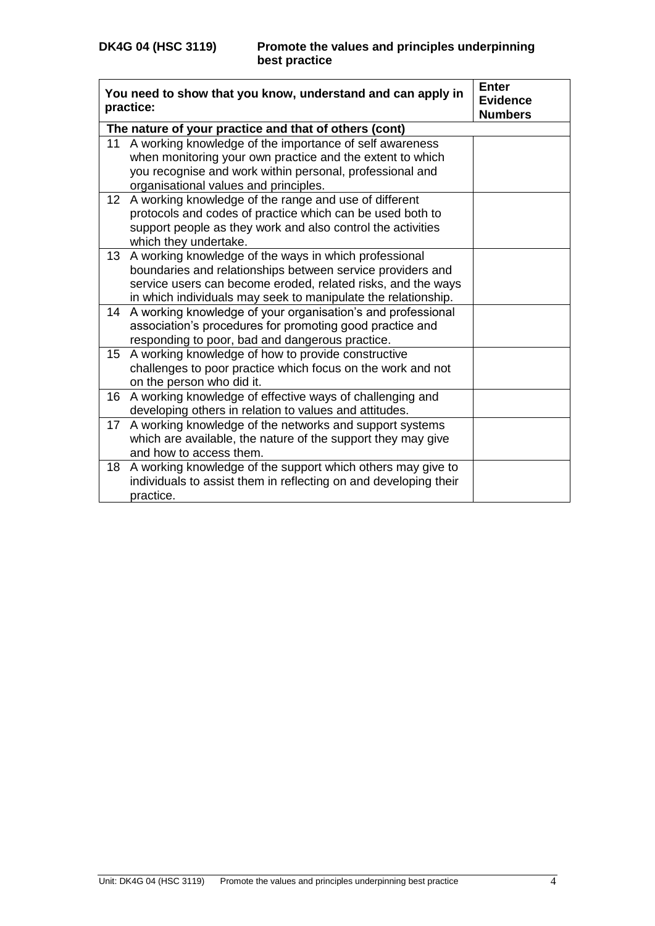|                 | You need to show that you know, understand and can apply in<br>practice:                                                                                                                                                                             | <b>Enter</b><br><b>Evidence</b><br><b>Numbers</b> |
|-----------------|------------------------------------------------------------------------------------------------------------------------------------------------------------------------------------------------------------------------------------------------------|---------------------------------------------------|
|                 | The nature of your practice and that of others (cont)                                                                                                                                                                                                |                                                   |
| 11              | A working knowledge of the importance of self awareness<br>when monitoring your own practice and the extent to which<br>you recognise and work within personal, professional and<br>organisational values and principles.                            |                                                   |
| 12 <sub>2</sub> | A working knowledge of the range and use of different<br>protocols and codes of practice which can be used both to<br>support people as they work and also control the activities<br>which they undertake.                                           |                                                   |
| 13              | A working knowledge of the ways in which professional<br>boundaries and relationships between service providers and<br>service users can become eroded, related risks, and the ways<br>in which individuals may seek to manipulate the relationship. |                                                   |
| 14              | A working knowledge of your organisation's and professional<br>association's procedures for promoting good practice and<br>responding to poor, bad and dangerous practice.                                                                           |                                                   |
| 15 <sub>1</sub> | A working knowledge of how to provide constructive<br>challenges to poor practice which focus on the work and not<br>on the person who did it.                                                                                                       |                                                   |
| 16              | A working knowledge of effective ways of challenging and<br>developing others in relation to values and attitudes.                                                                                                                                   |                                                   |
| 17              | A working knowledge of the networks and support systems<br>which are available, the nature of the support they may give<br>and how to access them.                                                                                                   |                                                   |
| 18              | A working knowledge of the support which others may give to<br>individuals to assist them in reflecting on and developing their<br>practice.                                                                                                         |                                                   |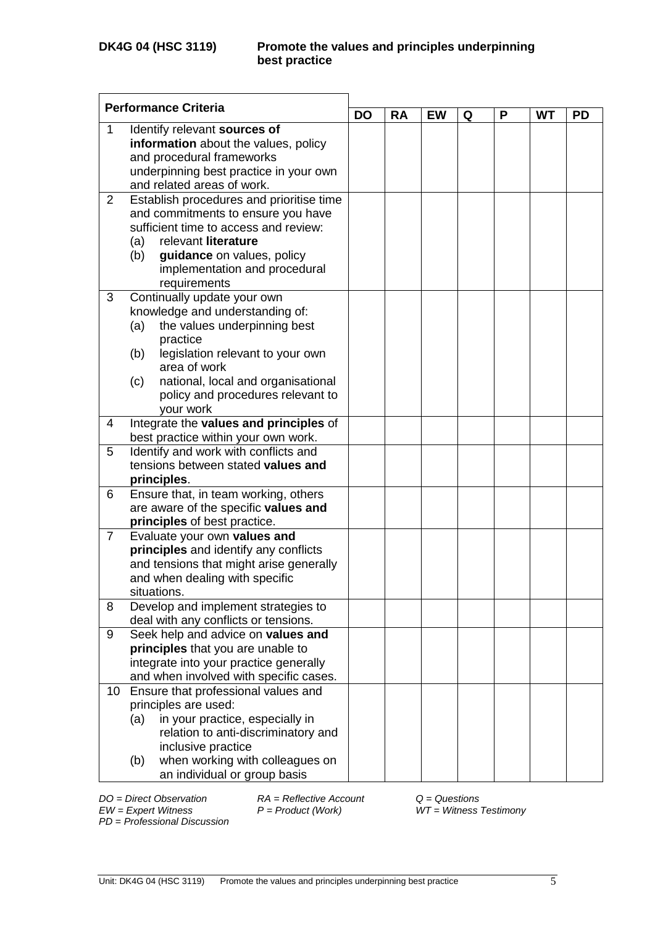| <b>Performance Criteria</b> |                                                                             |           |           |           |   |   |           |           |
|-----------------------------|-----------------------------------------------------------------------------|-----------|-----------|-----------|---|---|-----------|-----------|
|                             |                                                                             | <b>DO</b> | <b>RA</b> | <b>EW</b> | Q | P | <b>WT</b> | <b>PD</b> |
| 1                           | Identify relevant sources of<br>information about the values, policy        |           |           |           |   |   |           |           |
|                             | and procedural frameworks                                                   |           |           |           |   |   |           |           |
|                             | underpinning best practice in your own                                      |           |           |           |   |   |           |           |
|                             | and related areas of work.                                                  |           |           |           |   |   |           |           |
| $\overline{2}$              | Establish procedures and prioritise time                                    |           |           |           |   |   |           |           |
|                             | and commitments to ensure you have<br>sufficient time to access and review: |           |           |           |   |   |           |           |
|                             | relevant literature<br>(a)                                                  |           |           |           |   |   |           |           |
|                             | guidance on values, policy<br>(b)                                           |           |           |           |   |   |           |           |
|                             | implementation and procedural                                               |           |           |           |   |   |           |           |
|                             | requirements                                                                |           |           |           |   |   |           |           |
| 3                           | Continually update your own                                                 |           |           |           |   |   |           |           |
|                             | knowledge and understanding of:                                             |           |           |           |   |   |           |           |
|                             | the values underpinning best<br>(a)                                         |           |           |           |   |   |           |           |
|                             | practice<br>legislation relevant to your own<br>(b)                         |           |           |           |   |   |           |           |
|                             | area of work                                                                |           |           |           |   |   |           |           |
|                             | national, local and organisational<br>(c)                                   |           |           |           |   |   |           |           |
|                             | policy and procedures relevant to                                           |           |           |           |   |   |           |           |
|                             | vour work                                                                   |           |           |           |   |   |           |           |
| 4                           | Integrate the values and principles of                                      |           |           |           |   |   |           |           |
|                             | best practice within your own work.                                         |           |           |           |   |   |           |           |
| 5                           | Identify and work with conflicts and<br>tensions between stated values and  |           |           |           |   |   |           |           |
|                             | principles.                                                                 |           |           |           |   |   |           |           |
| 6                           | Ensure that, in team working, others                                        |           |           |           |   |   |           |           |
|                             | are aware of the specific values and                                        |           |           |           |   |   |           |           |
|                             | principles of best practice.                                                |           |           |           |   |   |           |           |
| $\overline{7}$              | Evaluate your own values and                                                |           |           |           |   |   |           |           |
|                             | principles and identify any conflicts                                       |           |           |           |   |   |           |           |
|                             | and tensions that might arise generally                                     |           |           |           |   |   |           |           |
|                             | and when dealing with specific                                              |           |           |           |   |   |           |           |
| 8                           | situations.<br>Develop and implement strategies to                          |           |           |           |   |   |           |           |
|                             | deal with any conflicts or tensions.                                        |           |           |           |   |   |           |           |
| 9                           | Seek help and advice on values and                                          |           |           |           |   |   |           |           |
|                             | principles that you are unable to                                           |           |           |           |   |   |           |           |
|                             | integrate into your practice generally                                      |           |           |           |   |   |           |           |
|                             | and when involved with specific cases.                                      |           |           |           |   |   |           |           |
| 10 <sup>°</sup>             | Ensure that professional values and                                         |           |           |           |   |   |           |           |
|                             | principles are used:                                                        |           |           |           |   |   |           |           |
|                             | in your practice, especially in<br>(a)                                      |           |           |           |   |   |           |           |
|                             | relation to anti-discriminatory and<br>inclusive practice                   |           |           |           |   |   |           |           |
|                             | when working with colleagues on<br>(b)                                      |           |           |           |   |   |           |           |
|                             | an individual or group basis                                                |           |           |           |   |   |           |           |

*DO = Direct Observation RA = Reflective Account Q = Questions*

*EW = Expert Witness P = Product (Work) WT = Witness Testimony*

*PD* = *Professional Discussion*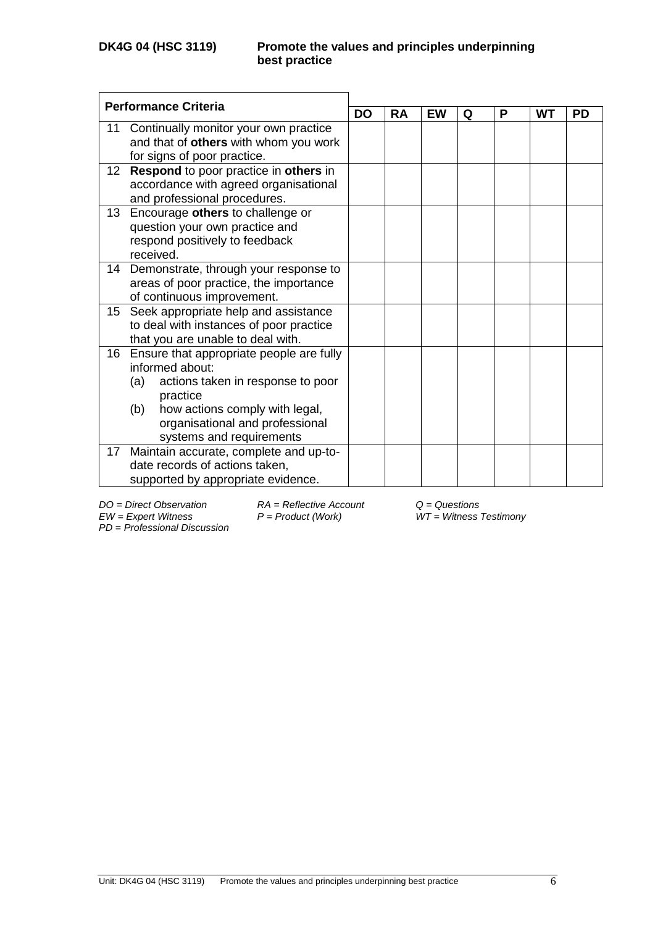|                 | <b>Performance Criteria</b>              |           |           |    |   |   |    |           |
|-----------------|------------------------------------------|-----------|-----------|----|---|---|----|-----------|
|                 |                                          | <b>DO</b> | <b>RA</b> | EW | Q | P | WT | <b>PD</b> |
| 11              | Continually monitor your own practice    |           |           |    |   |   |    |           |
|                 | and that of others with whom you work    |           |           |    |   |   |    |           |
|                 | for signs of poor practice.              |           |           |    |   |   |    |           |
| 12 <sup>°</sup> | Respond to poor practice in others in    |           |           |    |   |   |    |           |
|                 | accordance with agreed organisational    |           |           |    |   |   |    |           |
|                 | and professional procedures.             |           |           |    |   |   |    |           |
| 13              | Encourage others to challenge or         |           |           |    |   |   |    |           |
|                 | question your own practice and           |           |           |    |   |   |    |           |
|                 | respond positively to feedback           |           |           |    |   |   |    |           |
|                 | received.                                |           |           |    |   |   |    |           |
| 14              | Demonstrate, through your response to    |           |           |    |   |   |    |           |
|                 | areas of poor practice, the importance   |           |           |    |   |   |    |           |
|                 | of continuous improvement.               |           |           |    |   |   |    |           |
| 15              | Seek appropriate help and assistance     |           |           |    |   |   |    |           |
|                 | to deal with instances of poor practice  |           |           |    |   |   |    |           |
|                 | that you are unable to deal with.        |           |           |    |   |   |    |           |
| 16              | Ensure that appropriate people are fully |           |           |    |   |   |    |           |
|                 | informed about:                          |           |           |    |   |   |    |           |
|                 | (a)<br>actions taken in response to poor |           |           |    |   |   |    |           |
|                 | practice                                 |           |           |    |   |   |    |           |
|                 | (b)<br>how actions comply with legal,    |           |           |    |   |   |    |           |
|                 | organisational and professional          |           |           |    |   |   |    |           |
|                 | systems and requirements                 |           |           |    |   |   |    |           |
| 17              | Maintain accurate, complete and up-to-   |           |           |    |   |   |    |           |
|                 | date records of actions taken,           |           |           |    |   |   |    |           |
|                 | supported by appropriate evidence.       |           |           |    |   |   |    |           |

*EW = Expert Witness P = Product (Work) WT = Witness Testimony*

*PD* = *Professional Discussion*

*DO = Direct Observation RA = Reflective Account Q = Questions*